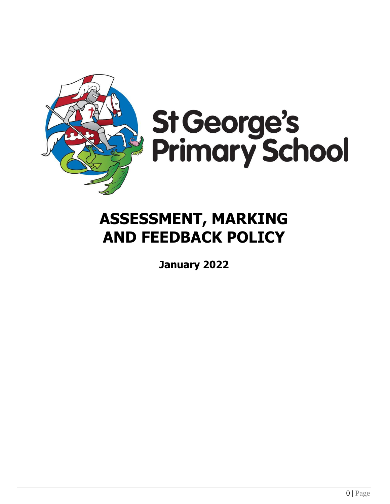

# St George's<br>Primary School

# **ASSESSMENT, MARKING AND FEEDBACK POLICY**

**January 2022**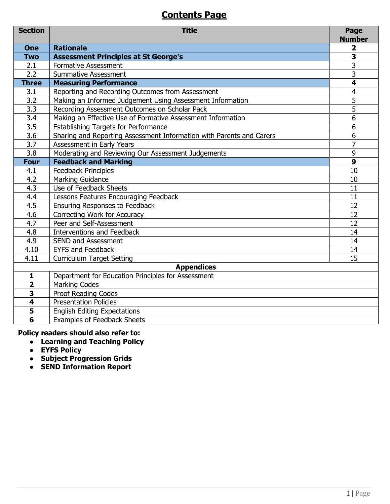### **Contents Page**

| <b>Section</b>          | <b>Title</b>                                                         | Page<br><b>Number</b>   |
|-------------------------|----------------------------------------------------------------------|-------------------------|
| <b>One</b>              | <b>Rationale</b>                                                     | $\overline{\mathbf{2}}$ |
| <b>Two</b>              | <b>Assessment Principles at St George's</b>                          | $\overline{\mathbf{3}}$ |
| 2.1                     | <b>Formative Assessment</b>                                          | 3                       |
| 2.2                     | <b>Summative Assessment</b>                                          | 3                       |
| <b>Three</b>            | <b>Measuring Performance</b>                                         | $\overline{\mathbf{4}}$ |
| 3.1                     | Reporting and Recording Outcomes from Assessment                     | 4                       |
| $\overline{3.2}$        | Making an Informed Judgement Using Assessment Information            | 5                       |
| $\overline{3.3}$        | Recording Assessment Outcomes on Scholar Pack                        | $\overline{5}$          |
| $\overline{3.4}$        | Making an Effective Use of Formative Assessment Information          | $\overline{6}$          |
| 3.5                     | <b>Establishing Targets for Performance</b>                          | 6                       |
| $\overline{3.6}$        | Sharing and Reporting Assessment Information with Parents and Carers | 6                       |
| $\overline{3.7}$        | Assessment in Early Years                                            | $\overline{7}$          |
| 3.8                     | Moderating and Reviewing Our Assessment Judgements                   | 9                       |
| <b>Four</b>             | <b>Feedback and Marking</b>                                          | $\overline{9}$          |
| 4.1                     | <b>Feedback Principles</b>                                           | 10                      |
| 4.2                     | <b>Marking Guidance</b>                                              | 10                      |
| 4.3                     | Use of Feedback Sheets                                               | 11                      |
| 4.4                     | Lessons Features Encouraging Feedback                                | 11                      |
| 4.5                     | <b>Ensuring Responses to Feedback</b>                                | 12                      |
| 4.6                     | Correcting Work for Accuracy                                         | 12                      |
| 4.7                     | Peer and Self-Assessment                                             | 12                      |
| 4.8                     | <b>Interventions and Feedback</b>                                    | 14                      |
| 4.9                     | SEND and Assessment                                                  | 14                      |
| 4.10                    | <b>EYFS and Feedback</b>                                             | 14                      |
| 4.11                    | <b>Curriculum Target Setting</b>                                     | 15                      |
|                         | <b>Appendices</b>                                                    |                         |
| $\mathbf{1}$            | Department for Education Principles for Assessment                   |                         |
| $\overline{\mathbf{2}}$ | <b>Marking Codes</b>                                                 |                         |
| 3                       | <b>Proof Reading Codes</b>                                           |                         |
| $\overline{\mathbf{4}}$ | <b>Presentation Policies</b>                                         |                         |
| 5                       | <b>English Editing Expectations</b>                                  |                         |
| $\overline{\mathbf{6}}$ | <b>Examples of Feedback Sheets</b>                                   |                         |

### **Policy readers should also refer to:**

- **Learning and Teaching Policy**
- **EYFS Policy**
- **Subject Progression Grids**
- **SEND Information Report**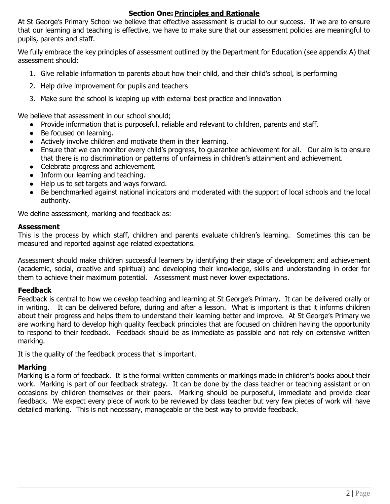### **Section One: Principles and Rationale**

At St George's Primary School we believe that effective assessment is crucial to our success. If we are to ensure that our learning and teaching is effective, we have to make sure that our assessment policies are meaningful to pupils, parents and staff.

We fully embrace the key principles of assessment outlined by the Department for Education (see appendix A) that assessment should:

- 1. Give reliable information to parents about how their child, and their child's school, is performing
- 2. Help drive improvement for pupils and teachers
- 3. Make sure the school is keeping up with external best practice and innovation

We believe that assessment in our school should;

- Provide information that is purposeful, reliable and relevant to children, parents and staff.
- Be focused on learning.
- Actively involve children and motivate them in their learning.
- Ensure that we can monitor every child's progress, to guarantee achievement for all. Our aim is to ensure that there is no discrimination or patterns of unfairness in children's attainment and achievement.
- Celebrate progress and achievement.
- Inform our learning and teaching.
- Help us to set targets and ways forward.
- Be benchmarked against national indicators and moderated with the support of local schools and the local authority.

We define assessment, marking and feedback as:

### **Assessment**

This is the process by which staff, children and parents evaluate children's learning. Sometimes this can be measured and reported against age related expectations.

Assessment should make children successful learners by identifying their stage of development and achievement (academic, social, creative and spiritual) and developing their knowledge, skills and understanding in order for them to achieve their maximum potential. Assessment must never lower expectations.

### **Feedback**

Feedback is central to how we develop teaching and learning at St George's Primary. It can be delivered orally or in writing. It can be delivered before, during and after a lesson. What is important is that it informs children about their progress and helps them to understand their learning better and improve. At St George's Primary we are working hard to develop high quality feedback principles that are focused on children having the opportunity to respond to their feedback. Feedback should be as immediate as possible and not rely on extensive written marking.

It is the quality of the feedback process that is important.

### **Marking**

Marking is a form of feedback. It is the formal written comments or markings made in children's books about their work. Marking is part of our feedback strategy. It can be done by the class teacher or teaching assistant or on occasions by children themselves or their peers. Marking should be purposeful, immediate and provide clear feedback. We expect every piece of work to be reviewed by class teacher but very few pieces of work will have detailed marking. This is not necessary, manageable or the best way to provide feedback.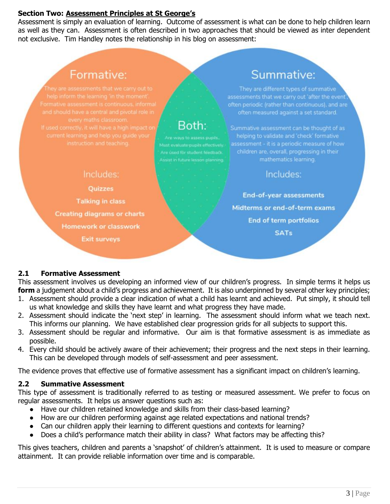### **Section Two: Assessment Principles at St George's**

Assessment is simply an evaluation of learning. Outcome of assessment is what can be done to help children learn as well as they can. Assessment is often described in two approaches that should be viewed as inter dependent not exclusive. Tim Handley notes the relationship in his blog on assessment:

## Formative:

### Includes:

**Quizzes Talking in class Creating diagrams or charts Homework or classwork Exit surveys** 

# Both:

Must evaluate pupils effectively.

Summative:

They are different types of summative assessments that we carry out 'after the event' often measured against a set standard.

Summative assessment can be thought of as helping to validate and 'check' formative assessment - it is a periodic measure of how children are, overall, progressing in their mathematics learning.

### Includes:

**End-of-year assessments** Midterms or end-of-term exams **End of term portfolios SATs** 

### **2.1 Formative Assessment**

This assessment involves us developing an informed view of our children's progress. In simple terms it helps us **form** a judgement about a child's progress and achievement. It is also underpinned by several other key principles;

- 1. Assessment should provide a clear indication of what a child has learnt and achieved. Put simply, it should tell us what knowledge and skills they have learnt and what progress they have made.
- 2. Assessment should indicate the 'next step' in learning. The assessment should inform what we teach next. This informs our planning. We have established clear progression grids for all subjects to support this.
- 3. Assessment should be regular and informative. Our aim is that formative assessment is as immediate as possible.
- 4. Every child should be actively aware of their achievement; their progress and the next steps in their learning. This can be developed through models of self-assessment and peer assessment.

The evidence proves that effective use of formative assessment has a significant impact on children's learning.

### **2.2 Summative Assessment**

This type of assessment is traditionally referred to as testing or measured assessment. We prefer to focus on regular assessments. It helps us answer questions such as:

- Have our children retained knowledge and skills from their class-based learning?
- How are our children performing against age related expectations and national trends?
- Can our children apply their learning to different questions and contexts for learning?
- Does a child's performance match their ability in class? What factors may be affecting this?

This gives teachers, children and parents a 'snapshot' of children's attainment. It is used to measure or compare attainment. It can provide reliable information over time and is comparable.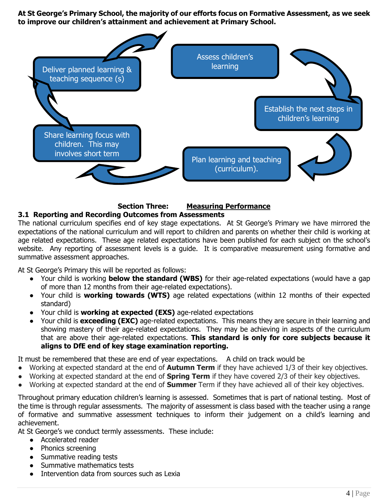**At St George's Primary School, the majority of our efforts focus on Formative Assessment, as we seek to improve our children's attainment and achievement at Primary School.** 



### **Section Three: Measuring Performance 3.1 Reporting and Recording Outcomes from Assessments**

The national curriculum specifies end of key stage expectations. At St George's Primary we have mirrored the expectations of the national curriculum and will report to children and parents on whether their child is working at age related expectations. These age related expectations have been published for each subject on the school's website. Any reporting of assessment levels is a quide. It is comparative measurement using formative and summative assessment approaches.

At St George's Primary this will be reported as follows:

- Your child is working **below the standard (WBS)** for their age-related expectations (would have a gap of more than 12 months from their age-related expectations).
- Your child is **working towards (WTS)** age related expectations (within 12 months of their expected standard)
- Your child is **working at expected (EXS)** age-related expectations
- Your child is **exceeding (EXC)** age-related expectations. This means they are secure in their learning and showing mastery of their age-related expectations. They may be achieving in aspects of the curriculum that are above their age-related expectations. **This standard is only for core subjects because it aligns to DfE end of key stage examination reporting.**

It must be remembered that these are end of year expectations. A child on track would be

- Working at expected standard at the end of **Autumn Term** if they have achieved 1/3 of their key objectives.
- Working at expected standard at the end of **Spring Term** if they have covered 2/3 of their key objectives.
- Working at expected standard at the end of **Summer** Term if they have achieved all of their key objectives.

Throughout primary education children's learning is assessed. Sometimes that is part of national testing. Most of the time is through regular assessments. The majority of assessment is class based with the teacher using a range of formative and summative assessment techniques to inform their judgement on a child's learning and achievement.

At St George's we conduct termly assessments. These include:

- Accelerated reader
- Phonics screening
- Summative reading tests
- Summative mathematics tests
- Intervention data from sources such as Lexia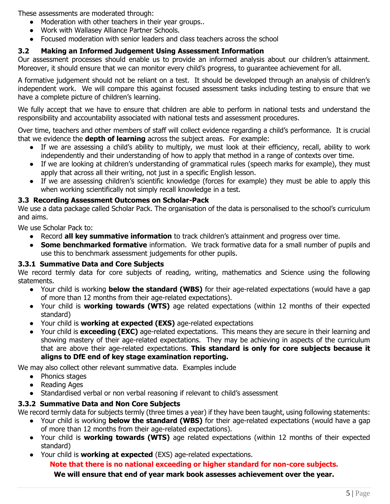These assessments are moderated through:

- Moderation with other teachers in their year groups..
- Work with Wallasey Alliance Partner Schools.
- Focused moderation with senior leaders and class teachers across the school

### **3.2 Making an Informed Judgement Using Assessment Information**

Our assessment processes should enable us to provide an informed analysis about our children's attainment. Moreover, it should ensure that we can monitor every child's progress, to guarantee achievement for all.

A formative judgement should not be reliant on a test. It should be developed through an analysis of children's independent work. We will compare this against focused assessment tasks including testing to ensure that we have a complete picture of children's learning.

We fully accept that we have to ensure that children are able to perform in national tests and understand the responsibility and accountability associated with national tests and assessment procedures.

Over time, teachers and other members of staff will collect evidence regarding a child's performance. It is crucial that we evidence the **depth of learning** across the subject areas. For example:

- If we are assessing a child's ability to multiply, we must look at their efficiency, recall, ability to work independently and their understanding of how to apply that method in a range of contexts over time.
- If we are looking at children's understanding of grammatical rules (speech marks for example), they must apply that across all their writing, not just in a specific English lesson.
- If we are assessing children's scientific knowledge (forces for example) they must be able to apply this when working scientifically not simply recall knowledge in a test.

### **3.3 Recording Assessment Outcomes on Scholar-Pack**

We use a data package called Scholar Pack. The organisation of the data is personalised to the school's curriculum and aims.

We use Scholar Pack to:

- Record **all key summative information** to track children's attainment and progress over time.
- **Some benchmarked formative** information. We track formative data for a small number of pupils and use this to benchmark assessment judgements for other pupils.

### **3.3.1 Summative Data and Core Subjects**

We record termly data for core subjects of reading, writing, mathematics and Science using the following statements.

- Your child is working **below the standard (WBS)** for their age-related expectations (would have a gap of more than 12 months from their age-related expectations).
- Your child is **working towards (WTS)** age related expectations (within 12 months of their expected standard)
- Your child is **working at expected (EXS)** age-related expectations
- Your child is **exceeding (EXC)** age-related expectations. This means they are secure in their learning and showing mastery of their age-related expectations. They may be achieving in aspects of the curriculum that are above their age-related expectations. **This standard is only for core subjects because it aligns to DfE end of key stage examination reporting.**

We may also collect other relevant summative data. Examples include

- Phonics stages
- Reading Ages
- Standardised verbal or non verbal reasoning if relevant to child's assessment

### **3.3.2 Summative Data and Non Core Subjects**

We record termly data for subjects termly (three times a year) if they have been taught, using following statements:

- Your child is working **below the standard (WBS)** for their age-related expectations (would have a gap of more than 12 months from their age-related expectations).
- Your child is **working towards (WTS)** age related expectations (within 12 months of their expected standard)
- Your child is **working at expected** (EXS) age-related expectations. **Note that there is no national exceeding or higher standard for non-core subjects. We will ensure that end of year mark book assesses achievement over the year.**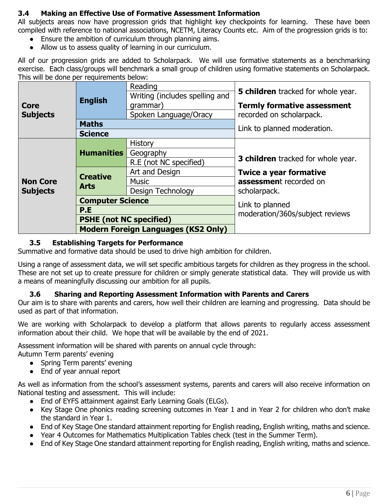### **3.4 Making an Effective Use of Formative Assessment Information**

All subjects areas now have progression grids that highlight key checkpoints for learning. These have been compiled with reference to national associations, NCETM, Literacy Counts etc. Aim of the progression grids is to:

- Ensure the ambition of curriculum through planning aims.
- Allow us to assess quality of learning in our curriculum.

All of our progression grids are added to Scholarpack. We will use formative statements as a benchmarking exercise. Each class/groups will benchmark a small group of children using formative statements on Scholarpack. This will be done per requirements below:

|                 |                                | Reading<br>Writing (includes spelling and  | <b>5 children</b> tracked for whole year. |  |
|-----------------|--------------------------------|--------------------------------------------|-------------------------------------------|--|
| <b>Core</b>     | <b>English</b>                 | grammar)                                   | <b>Termly formative assessment</b>        |  |
| <b>Subjects</b> |                                | Spoken Language/Oracy                      | recorded on scholarpack.                  |  |
|                 | <b>Maths</b>                   |                                            | Link to planned moderation.               |  |
|                 | <b>Science</b>                 |                                            |                                           |  |
|                 |                                | History                                    |                                           |  |
|                 | <b>Humanities</b>              | Geography                                  |                                           |  |
|                 |                                | R.E (not NC specified)                     | <b>3 children</b> tracked for whole year. |  |
|                 | <b>Creative</b><br><b>Arts</b> | Art and Design                             | <b>Twice a year formative</b>             |  |
| <b>Non Core</b> |                                | <b>Music</b>                               | assessment recorded on                    |  |
| <b>Subjects</b> |                                | Design Technology                          | scholarpack.                              |  |
|                 | <b>Computer Science</b>        |                                            | Link to planned                           |  |
|                 | P.E                            |                                            | moderation/360s/subject reviews           |  |
|                 | <b>PSHE (not NC specified)</b> |                                            |                                           |  |
|                 |                                | <b>Modern Foreign Languages (KS2 Only)</b> |                                           |  |

### **3.5 Establishing Targets for Performance**

Summative and formative data should be used to drive high ambition for children.

Using a range of assessment data, we will set specific ambitious targets for children as they progress in the school. These are not set up to create pressure for children or simply generate statistical data. They will provide us with a means of meaningfully discussing our ambition for all pupils.

### **3.6 Sharing and Reporting Assessment Information with Parents and Carers**

Our aim is to share with parents and carers, how well their children are learning and progressing. Data should be used as part of that information.

We are working with Scholarpack to develop a platform that allows parents to regularly access assessment information about their child. We hope that will be available by the end of 2021.

Assessment information will be shared with parents on annual cycle through:

Autumn Term parents' evening

- Spring Term parents' evening
- End of year annual report

As well as information from the school's assessment systems, parents and carers will also receive information on National testing and assessment. This will include:

- End of EYFS attainment against Early Learning Goals (ELGs).
- Key Stage One phonics reading screening outcomes in Year 1 and in Year 2 for children who don't make the standard in Year 1.
- End of Key Stage One standard attainment reporting for English reading, English writing, maths and science.
- Year 4 Outcomes for Mathematics Multiplication Tables check (test in the Summer Term).
- End of Key Stage One standard attainment reporting for English reading, English writing, maths and science.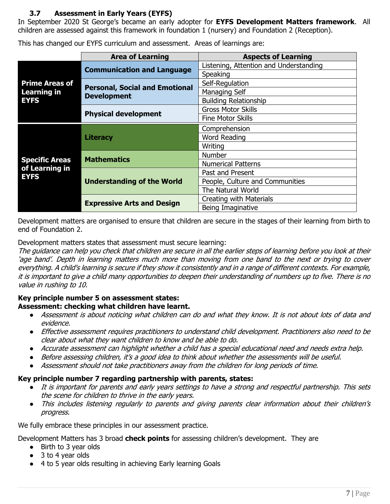### **3.7 Assessment in Early Years (EYFS)**

**Literacy**

In September 2020 St George's became an early adopter for **EYFS Development Matters framework**. All children are assessed against this framework in foundation 1 (nursery) and Foundation 2 (Reception).

**Area of Learning Aspects of Learning Prime Areas of Learning in EYFS Communication and Language** Listening, Attention and Understanding **Speaking Personal, Social and Emotional Development**  Self-Regulation Managing Self Building Relationship **Physical development** Gross Motor Skills Fine Motor Skills **Comprehension** Word Reading

**Mathematics** Number

This has changed our EYFS curriculum and assessment. Areas of learnings are:

Development matters are organised to ensure that children are secure in the stages of their learning from birth to end of Foundation 2.

**Expressive Arts and Design Creating with Materials** 

Writing

Numerical Patterns

People, Culture and Communities

Past and Present

The Natural World

Being Imaginative

Development matters states that assessment must secure learning:

**Understanding of the World**

The guidance can help you check that children are secure in all the earlier steps of learning before you look at their 'age band'. Depth in learning matters much more than moving from one band to the next or trying to cover everything. A child's learning is secure if they show it consistently and in a range of different contexts. For example, it is important to give a child many opportunities to deepen their understanding of numbers up to five. There is no value in rushing to 10.

### **Key principle number 5 on assessment states: Assessment: checking what children have learnt.**

- Assessment is about noticing what children can do and what they know. It is not about lots of data and evidence.
- Effective assessment requires practitioners to understand child development. Practitioners also need to be clear about what they want children to know and be able to do.
- Accurate assessment can highlight whether a child has a special educational need and needs extra help.
- Before assessing children, it's a good idea to think about whether the assessments will be useful.
- Assessment should not take practitioners away from the children for long periods of time.

### **Key principle number 7 regarding partnership with parents, states:**

- It is important for parents and early years settings to have a strong and respectful partnership. This sets the scene for children to thrive in the early years.
- This includes listening regularly to parents and giving parents clear information about their children's progress.

We fully embrace these principles in our assessment practice.

Development Matters has 3 broad **check points** for assessing children's development. They are

- Birth to 3 year olds
- 3 to 4 year olds

**Specific Areas of Learning in** 

**EYFS**

● 4 to 5 year olds resulting in achieving Early learning Goals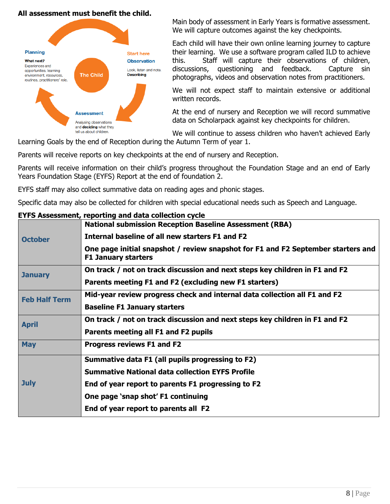### **All assessment must benefit the child.**



Main body of assessment in Early Years is formative assessment. We will capture outcomes against the key checkpoints.

Each child will have their own online learning journey to capture their learning. We use a software program called ILD to achieve this. Staff will capture their observations of children, discussions, questioning and feedback. Capture sin photographs, videos and observation notes from practitioners.

We will not expect staff to maintain extensive or additional written records.

At the end of nursery and Reception we will record summative data on Scholarpack against key checkpoints for children.

We will continue to assess children who haven't achieved Early Learning Goals by the end of Reception during the Autumn Term of year 1.

Parents will receive reports on key checkpoints at the end of nursery and Reception.

Parents will receive information on their child's progress throughout the Foundation Stage and an end of Early Years Foundation Stage (EYFS) Report at the end of foundation 2.

EYFS staff may also collect summative data on reading ages and phonic stages.

Specific data may also be collected for children with special educational needs such as Speech and Language.

|                      | ETFS Assessment, reporting and data collection cycle                                                           |
|----------------------|----------------------------------------------------------------------------------------------------------------|
|                      | <b>National submission Reception Baseline Assessment (RBA)</b>                                                 |
| <b>October</b>       | Internal baseline of all new starters F1 and F2                                                                |
|                      | One page initial snapshot / review snapshot for F1 and F2 September starters and<br><b>F1 January starters</b> |
| <b>January</b>       | On track / not on track discussion and next steps key children in F1 and F2                                    |
|                      | Parents meeting F1 and F2 (excluding new F1 starters)                                                          |
| <b>Feb Half Term</b> | Mid-year review progress check and internal data collection all F1 and F2                                      |
|                      | <b>Baseline F1 January starters</b>                                                                            |
| <b>April</b>         | On track / not on track discussion and next steps key children in F1 and F2                                    |
|                      | Parents meeting all F1 and F2 pupils                                                                           |
| <b>May</b>           | <b>Progress reviews F1 and F2</b>                                                                              |
|                      | Summative data F1 (all pupils progressing to F2)                                                               |
|                      | <b>Summative National data collection EYFS Profile</b>                                                         |
| <b>July</b>          | End of year report to parents F1 progressing to F2                                                             |
|                      | One page 'snap shot' F1 continuing                                                                             |
|                      | End of year report to parents all F2                                                                           |
|                      |                                                                                                                |

### **EYFS Assessment, reporting and data collection cycle**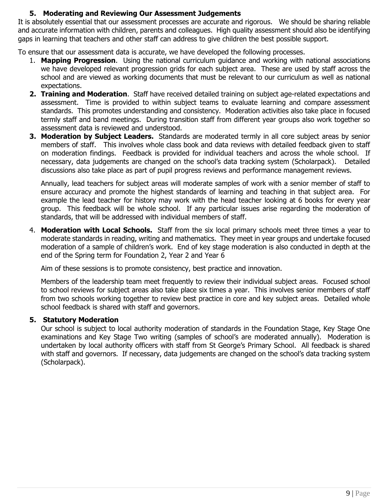### **5. Moderating and Reviewing Our Assessment Judgements**

It is absolutely essential that our assessment processes are accurate and rigorous. We should be sharing reliable and accurate information with children, parents and colleagues. High quality assessment should also be identifying gaps in learning that teachers and other staff can address to give children the best possible support.

To ensure that our assessment data is accurate, we have developed the following processes.

- 1. **Mapping Progression**. Using the national curriculum guidance and working with national associations we have developed relevant progression grids for each subject area. These are used by staff across the school and are viewed as working documents that must be relevant to our curriculum as well as national expectations.
- **2. Training and Moderation**. Staff have received detailed training on subject age-related expectations and assessment. Time is provided to within subject teams to evaluate learning and compare assessment standards. This promotes understanding and consistency. Moderation activities also take place in focused termly staff and band meetings. During transition staff from different year groups also work together so assessment data is reviewed and understood.
- **3. Moderation by Subject Leaders.** Standards are moderated termly in all core subject areas by senior members of staff. This involves whole class book and data reviews with detailed feedback given to staff on moderation findings. Feedback is provided for individual teachers and across the whole school. If necessary, data judgements are changed on the school's data tracking system (Scholarpack). Detailed discussions also take place as part of pupil progress reviews and performance management reviews.

Annually, lead teachers for subject areas will moderate samples of work with a senior member of staff to ensure accuracy and promote the highest standards of learning and teaching in that subject area. For example the lead teacher for history may work with the head teacher looking at 6 books for every year group. This feedback will be whole school. If any particular issues arise regarding the moderation of standards, that will be addressed with individual members of staff.

4. **Moderation with Local Schools.** Staff from the six local primary schools meet three times a year to moderate standards in reading, writing and mathematics. They meet in year groups and undertake focused moderation of a sample of children's work. End of key stage moderation is also conducted in depth at the end of the Spring term for Foundation 2, Year 2 and Year 6

Aim of these sessions is to promote consistency, best practice and innovation.

Members of the leadership team meet frequently to review their individual subject areas. Focused school to school reviews for subject areas also take place six times a year. This involves senior members of staff from two schools working together to review best practice in core and key subject areas. Detailed whole school feedback is shared with staff and governors.

### **5. Statutory Moderation**

Our school is subject to local authority moderation of standards in the Foundation Stage, Key Stage One examinations and Key Stage Two writing (samples of school's are moderated annually). Moderation is undertaken by local authority officers with staff from St George's Primary School. All feedback is shared with staff and governors. If necessary, data judgements are changed on the school's data tracking system (Scholarpack).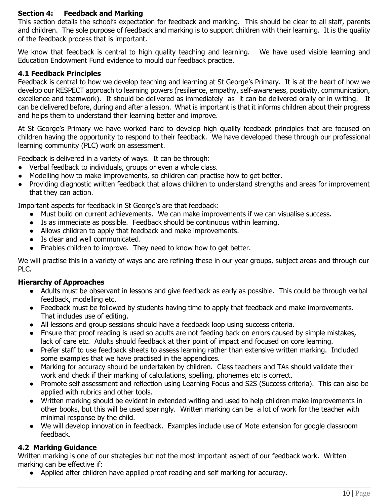### **Section 4: Feedback and Marking**

This section details the school's expectation for feedback and marking. This should be clear to all staff, parents and children. The sole purpose of feedback and marking is to support children with their learning. It is the quality of the feedback process that is important.

We know that feedback is central to high quality teaching and learning. We have used visible learning and Education Endowment Fund evidence to mould our feedback practice.

### **4.1 Feedback Principles**

Feedback is central to how we develop teaching and learning at St George's Primary. It is at the heart of how we develop our RESPECT approach to learning powers (resilience, empathy, self-awareness, positivity, communication, excellence and teamwork). It should be delivered as immediately as it can be delivered orally or in writing. It can be delivered before, during and after a lesson. What is important is that it informs children about their progress and helps them to understand their learning better and improve.

At St George's Primary we have worked hard to develop high quality feedback principles that are focused on children having the opportunity to respond to their feedback. We have developed these through our professional learning community (PLC) work on assessment.

Feedback is delivered in a variety of ways. It can be through:

- Verbal feedback to individuals, groups or even a whole class.
- Modelling how to make improvements, so children can practise how to get better.
- Providing diagnostic written feedback that allows children to understand strengths and areas for improvement that they can action.

Important aspects for feedback in St George's are that feedback:

- Must build on current achievements. We can make improvements if we can visualise success.
- Is as immediate as possible. Feedback should be continuous within learning.
- Allows children to apply that feedback and make improvements.
- Is clear and well communicated.
- Enables children to improve. They need to know how to get better.

We will practise this in a variety of ways and are refining these in our year groups, subject areas and through our PLC.

### **Hierarchy of Approaches**

- Adults must be observant in lessons and give feedback as early as possible. This could be through verbal feedback, modelling etc.
- Feedback must be followed by students having time to apply that feedback and make improvements. That includes use of editing.
- All lessons and group sessions should have a feedback loop using success criteria.
- Ensure that proof reading is used so adults are not feeding back on errors caused by simple mistakes, lack of care etc. Adults should feedback at their point of impact and focused on core learning.
- Prefer staff to use feedback sheets to assess learning rather than extensive written marking. Included some examples that we have practised in the appendices.
- Marking for accuracy should be undertaken by children. Class teachers and TAs should validate their work and check if their marking of calculations, spelling, phonemes etc is correct.
- Promote self assessment and reflection using Learning Focus and S2S (Success criteria). This can also be applied with rubrics and other tools.
- Written marking should be evident in extended writing and used to help children make improvements in other books, but this will be used sparingly. Written marking can be a lot of work for the teacher with minimal response by the child.
- We will develop innovation in feedback. Examples include use of Mote extension for google classroom feedback.

### **4.2 Marking Guidance**

Written marking is one of our strategies but not the most important aspect of our feedback work. Written marking can be effective if:

● Applied after children have applied proof reading and self marking for accuracy.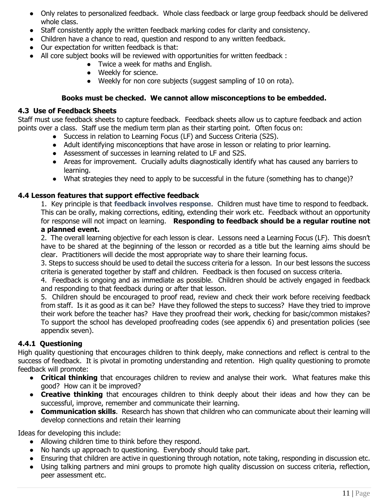- Only relates to personalized feedback. Whole class feedback or large group feedback should be delivered whole class.
- Staff consistently apply the written feedback marking codes for clarity and consistency.
- Children have a chance to read, question and respond to any written feedback.
- Our expectation for written feedback is that:
- All core subject books will be reviewed with opportunities for written feedback :
	- Twice a week for maths and English.
	- Weekly for science.
	- Weekly for non core subjects (suggest sampling of 10 on rota).

### **Books must be checked. We cannot allow misconceptions to be embedded.**

### **4.3 Use of Feedback Sheets**

Staff must use feedback sheets to capture feedback. Feedback sheets allow us to capture feedback and action points over a class. Staff use the medium term plan as their starting point. Often focus on:

- Success in relation to Learning Focus (LF) and Success Criteria (S2S).
- Adult identifying misconceptions that have arose in lesson or relating to prior learning.
- Assessment of successes in learning related to LF and S2S.
- Areas for improvement. Crucially adults diagnostically identify what has caused any barriers to learning.
- What strategies they need to apply to be successful in the future (something has to change)?

### **4.4 Lesson features that support effective feedback**

1. Key principle is that **feedback involves response**. Children must have time to respond to feedback. This can be orally, making corrections, editing, extending their work etc. Feedback without an opportunity for response will not impact on learning. **Responding to feedback should be a regular routine not** 

### **a planned event.**

2. The overall learning objective for each lesson is clear. Lessons need a Learning Focus (LF). This doesn't have to be shared at the beginning of the lesson or recorded as a title but the learning aims should be clear. Practitioners will decide the most appropriate way to share their learning focus.

3. Steps to success should be used to detail the success criteria for a lesson. In our best lessons the success criteria is generated together by staff and children. Feedback is then focused on success criteria.

4. Feedback is ongoing and as immediate as possible. Children should be actively engaged in feedback and responding to that feedback during or after that lesson.

5. Children should be encouraged to proof read, review and check their work before receiving feedback from staff. Is it as good as it can be? Have they followed the steps to success? Have they tried to improve their work before the teacher has? Have they proofread their work, checking for basic/common mistakes? To support the school has developed proofreading codes (see appendix 6) and presentation policies (see appendix seven).

### **4.4.1 Questioning**

High quality questioning that encourages children to think deeply, make connections and reflect is central to the success of feedback. It is pivotal in promoting understanding and retention. High quality questioning to promote feedback will promote:

- **Critical thinking** that encourages children to review and analyse their work. What features make this good? How can it be improved?
- **Creative thinking** that encourages children to think deeply about their ideas and how they can be successful, improve, remember and communicate their learning.
- **Communication skills**. Research has shown that children who can communicate about their learning will develop connections and retain their learning

Ideas for developing this include:

- Allowing children time to think before they respond.
- No hands up approach to questioning. Everybody should take part.
- Ensuring that children are active in questioning through notation, note taking, responding in discussion etc.
- Using talking partners and mini groups to promote high quality discussion on success criteria, reflection, peer assessment etc.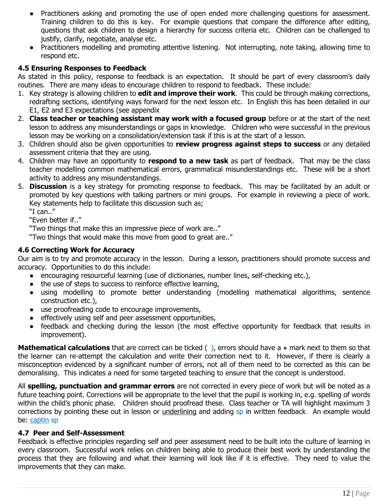- Practitioners asking and promoting the use of open ended more challenging questions for assessment. Training children to do this is key. For example questions that compare the difference after editing, questions that ask children to design a hierarchy for success criteria etc. Children can be challenged to justify, clarify, negotiate, analyse etc.
- Practitioners modelling and promoting attentive listening. Not interrupting, note taking, allowing time to respond etc.

### **4.5 Ensuring Responses to Feedback**

As stated in this policy, response to feedback is an expectation. It should be part of every classroom's daily routines. There are many ideas to encourage children to respond to feedback. These include:

- 1. Key strategy is allowing children to **edit and improve their work**. This could be through making corrections, redrafting sections, identifying ways forward for the next lesson etc. In English this has been detailed in our E1, E2 and E3 expectations (see appendix
- 2. **Class teacher or teaching assistant may work with a focused group** before or at the start of the next lesson to address any misunderstandings or gaps in knowledge. Children who were successful in the previous lesson may be working on a consolidation/extension task if this is at the start of a lesson.
- 3. Children should also be given opportunities to **review progress against steps to success** or any detailed assessment criteria that they are using.
- 4. Children may have an opportunity to **respond to a new task** as part of feedback. That may be the class teacher modelling common mathematical errors, grammatical misunderstandings etc. These will be a short activity to address any misunderstandings.
- 5. **Discussion** is a key strategy for promoting response to feedback. This may be facilitated by an adult or promoted by key questions with talking partners or mini groups. For example in reviewing a piece of work. Key statements help to facilitate this discussion such as;

"I can.."

"Even better if.."

"Two things that make this an impressive piece of work are.."

"Two things that would make this move from good to great are.."

### **4.6 Correcting Work for Accuracy**

Our aim is to try and promote accuracy in the lesson. During a lesson, practitioners should promote success and accuracy. Opportunities to do this include:

- encouraging resourceful learning (use of dictionaries, number lines, self-checking etc.),
- the use of steps to success to reinforce effective learning,
- using modelling to promote better understanding (modelling mathematical algorithms, sentence construction etc.),
- use proofreading code to encourage improvements,
- effectively using self and peer assessment opportunities,
- feedback and checking during the lesson (the most effective opportunity for feedback that results in improvement).

**Mathematical calculations** that are correct can be ticked ( ), errors should have a ● mark next to them so that the learner can re-attempt the calculation and write their correction next to it. However, if there is clearly a misconception evidenced by a significant number of errors, not all of them need to be corrected as this can be demoralising. This indicates a need for some targeted teaching to ensure that the concept is understood.

All **spelling, punctuation and grammar errors** are not corrected in every piece of work but will be noted as a future teaching point. Corrections will be appropriate to the level that the pupil is working in, e.g. spelling of words within the child's phonic phase. Children should proofread these. Class teacher or TA will highlight maximum 3 corrections by pointing these out in lesson or underlining and adding sp in written feedback. An example would be: captin sp

### **4.7 Peer and Self-Assessment**

Feedback is effective principles regarding self and peer assessment need to be built into the culture of learning in every classroom. Successful work relies on children being able to produce their best work by understanding the process that they are following and what their learning will look like if it is effective. They need to value the improvements that they can make.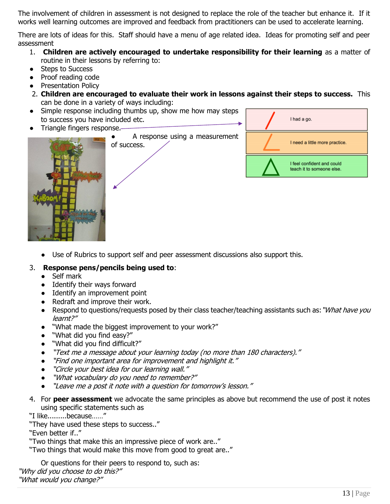The involvement of children in assessment is not designed to replace the role of the teacher but enhance it. If it works well learning outcomes are improved and feedback from practitioners can be used to accelerate learning.

There are lots of ideas for this. Staff should have a menu of age related idea. Ideas for promoting self and peer assessment

- 1. **Children are actively encouraged to undertake responsibility for their learning** as a matter of routine in their lessons by referring to:
- Steps to Success
- Proof reading code
- Presentation Policy
- 2. **Children are encouraged to evaluate their work in lessons against their steps to success.** This can be done in a variety of ways including:
- Simple response including thumbs up, show me how may steps to success you have included etc.
- Triangle fingers response.







● Use of Rubrics to support self and peer assessment discussions also support this.

### 3. **Response pens/pencils being used to**:

- Self mark
- Identify their ways forward
- Identify an improvement point
- Redraft and improve their work.
- Respond to questions/requests posed by their class teacher/teaching assistants such as: "What have you learnt?"
- "What made the biggest improvement to your work?"
- "What did you find easy?"
- "What did you find difficult?"
- "Text me a message about your learning today (no more than 180 characters)."
- "Find one important area for improvement and highlight it."
- "Circle your best idea for our learning wall."
- "What vocabulary do you need to remember?"
- "Leave me a post it note with a question for tomorrow's lesson."
- 4. For **peer assessment** we advocate the same principles as above but recommend the use of post it notes using specific statements such as

"I like.........because……"

"They have used these steps to success.."

"Even better if.."

"Two things that make this an impressive piece of work are.."

"Two things that would make this move from good to great are.."

Or questions for their peers to respond to, such as: "Why did you choose to do this?" "What would you change?"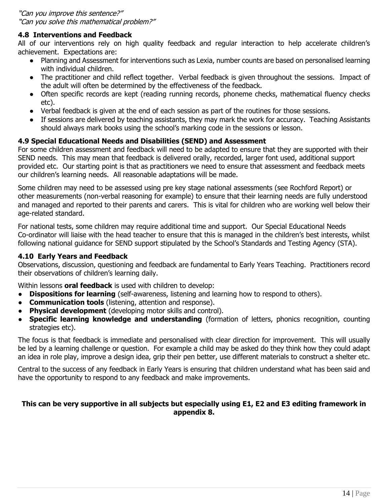### **4.8 Interventions and Feedback**

All of our interventions rely on high quality feedback and regular interaction to help accelerate children's achievement. Expectations are:

- Planning and Assessment for interventions such as Lexia, number counts are based on personalised learning with individual children.
- The practitioner and child reflect together. Verbal feedback is given throughout the sessions. Impact of the adult will often be determined by the effectiveness of the feedback.
- Often specific records are kept (reading running records, phoneme checks, mathematical fluency checks etc).
- Verbal feedback is given at the end of each session as part of the routines for those sessions.
- If sessions are delivered by teaching assistants, they may mark the work for accuracy. Teaching Assistants should always mark books using the school's marking code in the sessions or lesson.

### **4.9 Special Educational Needs and Disabilities (SEND) and Assessment**

For some children assessment and feedback will need to be adapted to ensure that they are supported with their SEND needs. This may mean that feedback is delivered orally, recorded, larger font used, additional support provided etc. Our starting point is that as practitioners we need to ensure that assessment and feedback meets our children's learning needs. All reasonable adaptations will be made.

Some children may need to be assessed using pre key stage national assessments (see Rochford Report) or other measurements (non-verbal reasoning for example) to ensure that their learning needs are fully understood and managed and reported to their parents and carers. This is vital for children who are working well below their age-related standard.

For national tests, some children may require additional time and support. Our Special Educational Needs Co-ordinator will liaise with the head teacher to ensure that this is managed in the children's best interests, whilst following national guidance for SEND support stipulated by the School's Standards and Testing Agency (STA).

### **4.10 Early Years and Feedback**

Observations, discussion, questioning and feedback are fundamental to Early Years Teaching. Practitioners record their observations of children's learning daily.

Within lessons **oral feedback** is used with children to develop:

- **Dispositions for learning** (self-awareness, listening and learning how to respond to others).
- **Communication tools** (listening, attention and response).
- **Physical development** (developing motor skills and control).
- **Specific learning knowledge and understanding** (formation of letters, phonics recognition, counting strategies etc).

The focus is that feedback is immediate and personalised with clear direction for improvement. This will usually be led by a learning challenge or question. For example a child may be asked do they think how they could adapt an idea in role play, improve a design idea, grip their pen better, use different materials to construct a shelter etc.

Central to the success of any feedback in Early Years is ensuring that children understand what has been said and have the opportunity to respond to any feedback and make improvements.

### **This can be very supportive in all subjects but especially using E1, E2 and E3 editing framework in appendix 8.**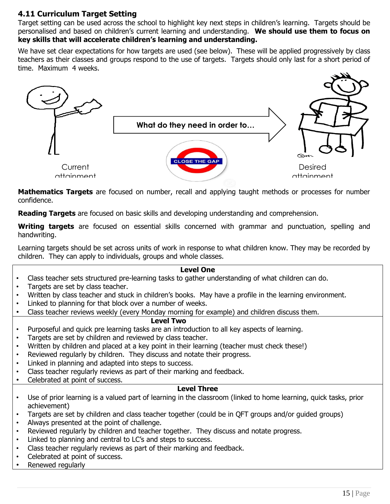### **4.11 Curriculum Target Setting**

Target setting can be used across the school to highlight key next steps in children's learning. Targets should be personalised and based on children's current learning and understanding. **We should use them to focus on key skills that will accelerate children's learning and understanding.** 

We have set clear expectations for how targets are used (see below). These will be applied progressively by class teachers as their classes and groups respond to the use of targets. Targets should only last for a short period of time. Maximum 4 weeks.



**Mathematics Targets** are focused on number, recall and applying taught methods or processes for number confidence.

**Reading Targets** are focused on basic skills and developing understanding and comprehension.

**Writing targets** are focused on essential skills concerned with grammar and punctuation, spelling and handwriting.

Learning targets should be set across units of work in response to what children know. They may be recorded by children. They can apply to individuals, groups and whole classes.

### **Level One**

- Class teacher sets structured pre-learning tasks to gather understanding of what children can do.
- Targets are set by class teacher.
- Written by class teacher and stuck in children's books. May have a profile in the learning environment.
- Linked to planning for that block over a number of weeks.
- Class teacher reviews weekly (every Monday morning for example) and children discuss them.

### **Level Two**

- Purposeful and quick pre learning tasks are an introduction to all key aspects of learning.
- Targets are set by children and reviewed by class teacher.
- Written by children and placed at a key point in their learning (teacher must check these!)
- Reviewed regularly by children. They discuss and notate their progress.
- Linked in planning and adapted into steps to success.
- Class teacher regularly reviews as part of their marking and feedback.
- Celebrated at point of success.

### **Level Three**

- Use of prior learning is a valued part of learning in the classroom (linked to home learning, quick tasks, prior achievement)
- Targets are set by children and class teacher together (could be in QFT groups and/or guided groups)
- Always presented at the point of challenge.
- Reviewed regularly by children and teacher together. They discuss and notate progress.
- Linked to planning and central to LC's and steps to success.
- Class teacher regularly reviews as part of their marking and feedback.
- Celebrated at point of success.
- Renewed regularly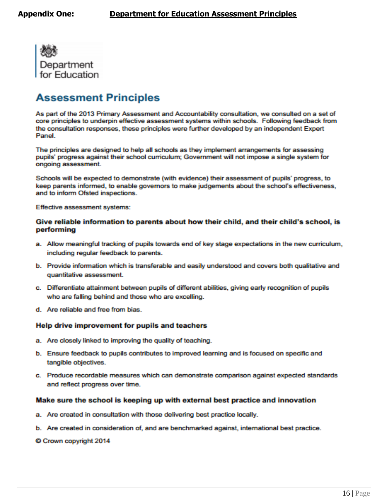

## **Assessment Principles**

As part of the 2013 Primary Assessment and Accountability consultation, we consulted on a set of core principles to underpin effective assessment systems within schools. Following feedback from the consultation responses, these principles were further developed by an independent Expert Panel.

The principles are designed to help all schools as they implement arrangements for assessing pupils' progress against their school curriculum; Government will not impose a single system for ongoing assessment.

Schools will be expected to demonstrate (with evidence) their assessment of pupils' progress, to keep parents informed, to enable governors to make judgements about the school's effectiveness, and to inform Ofsted inspections.

Effective assessment systems:

### Give reliable information to parents about how their child, and their child's school, is performing

- a. Allow meaningful tracking of pupils towards end of key stage expectations in the new curriculum, including regular feedback to parents.
- b. Provide information which is transferable and easily understood and covers both qualitative and quantitative assessment.
- c. Differentiate attainment between pupils of different abilities, giving early recognition of pupils who are falling behind and those who are excelling.
- d Are reliable and free from bias

### Help drive improvement for pupils and teachers

- a. Are closely linked to improving the quality of teaching.
- b. Ensure feedback to pupils contributes to improved learning and is focused on specific and tangible objectives.
- c. Produce recordable measures which can demonstrate comparison against expected standards and reflect progress over time.

### Make sure the school is keeping up with external best practice and innovation

- a. Are created in consultation with those delivering best practice locally.
- b. Are created in consideration of, and are benchmarked against, international best practice.

Crown copyright 2014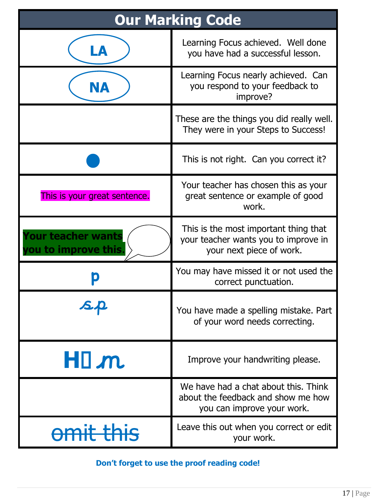| <b>Our Marking Code</b>                          |                                                                                                           |  |  |  |
|--------------------------------------------------|-----------------------------------------------------------------------------------------------------------|--|--|--|
| LA                                               | Learning Focus achieved. Well done<br>you have had a successful lesson.                                   |  |  |  |
| NA                                               | Learning Focus nearly achieved. Can<br>you respond to your feedback to<br>improve?                        |  |  |  |
|                                                  | These are the things you did really well.<br>They were in your Steps to Success!                          |  |  |  |
|                                                  | This is not right. Can you correct it?                                                                    |  |  |  |
| This is your great sentence.                     | Your teacher has chosen this as your<br>great sentence or example of good<br>work.                        |  |  |  |
| <b>Your teacher wants</b><br>ou to improve this. | This is the most important thing that<br>your teacher wants you to improve in<br>your next piece of work. |  |  |  |
|                                                  | You may have missed it or not used the<br>correct punctuation.                                            |  |  |  |
|                                                  | You have made a spelling mistake. Part<br>of your word needs correcting.                                  |  |  |  |
| HIM.                                             | Improve your handwriting please.                                                                          |  |  |  |
|                                                  | We have had a chat about this. Think<br>about the feedback and show me how<br>you can improve your work.  |  |  |  |
| amit thic                                        | Leave this out when you correct or edit<br>your work.                                                     |  |  |  |

**Don't forget to use the proof reading code!** F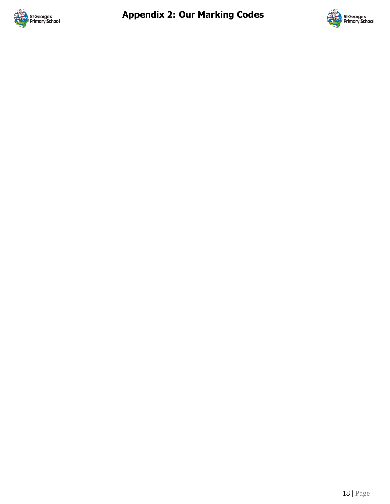

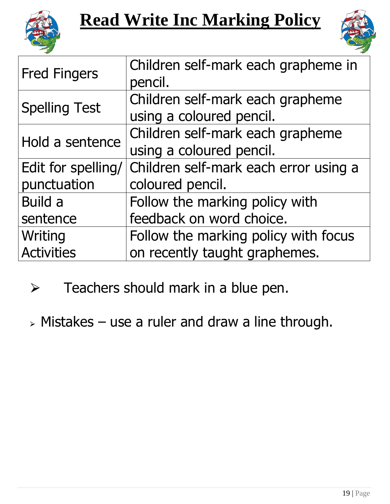



| Children self-mark each grapheme in                       |  |  |
|-----------------------------------------------------------|--|--|
|                                                           |  |  |
|                                                           |  |  |
|                                                           |  |  |
| Children self-mark each grapheme                          |  |  |
|                                                           |  |  |
| Children self-mark each error using a<br>coloured pencil. |  |  |
|                                                           |  |  |
|                                                           |  |  |
|                                                           |  |  |
| Follow the marking policy with focus                      |  |  |
|                                                           |  |  |
|                                                           |  |  |

- $\triangleright$  Teachers should mark in a blue pen.
- $\triangleright$  Mistakes use a ruler and draw a line through.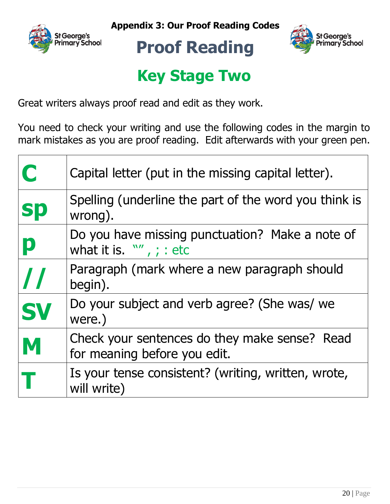





# **Proof Reading**

# **Key Stage Two**

Great writers always proof read and edit as they work.

You need to check your writing and use the following codes in the margin to mark mistakes as you are proof reading. Edit afterwards with your green pen.

| $\bigcap$ | Capital letter (put in the missing capital letter).                           |
|-----------|-------------------------------------------------------------------------------|
| <b>Sp</b> | Spelling (underline the part of the word you think is<br>wrong).              |
| p         | Do you have missing punctuation? Make a note of<br>what it is. $W'$ , ; : etc |
|           | Paragraph (mark where a new paragraph should<br>begin).                       |
| <b>SV</b> | Do your subject and verb agree? (She was/ we<br>were.)                        |
| M         | Check your sentences do they make sense? Read<br>for meaning before you edit. |
|           | Is your tense consistent? (writing, written, wrote,<br>will write)            |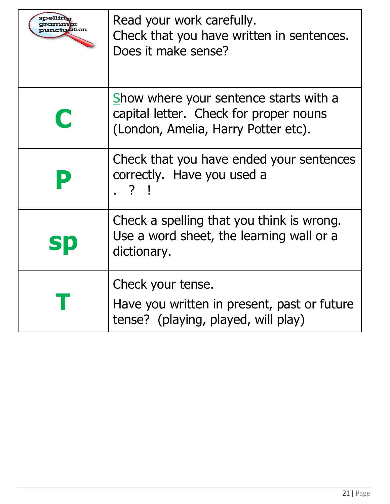| ctuation    | Read your work carefully.<br>Check that you have written in sentences.<br>Does it make sense?                           |
|-------------|-------------------------------------------------------------------------------------------------------------------------|
| $\mathbf C$ | Show where your sentence starts with a<br>capital letter. Check for proper nouns<br>(London, Amelia, Harry Potter etc). |
|             | Check that you have ended your sentences<br>correctly. Have you used a<br>. ? !                                         |
| Sþ          | Check a spelling that you think is wrong.<br>Use a word sheet, the learning wall or a<br>dictionary.                    |
|             | Check your tense.<br>Have you written in present, past or future<br>tense? (playing, played, will play)                 |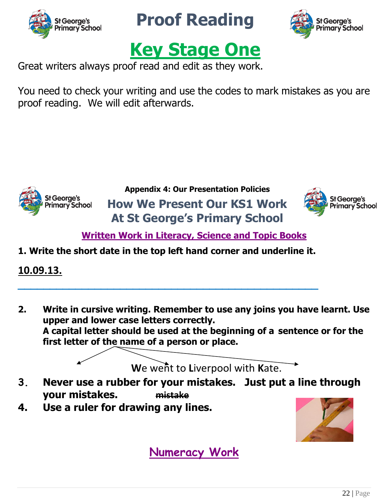

**Proof Reading**





Great writers always proof read and edit as they work.

You need to check your writing and use the codes to mark mistakes as you are proof reading. We will edit afterwards.



**Appendix 4: Our Presentation Policies How We Present Our KS1 Work At St George's Primary School**



**Written Work in Literacy, Science and Topic Books**

**1. Write the short date in the top left hand corner and underline it.**

**\_\_\_\_\_\_\_\_\_\_\_\_\_\_\_\_\_\_\_\_\_\_\_\_\_\_\_\_\_\_\_\_\_\_\_\_\_\_\_\_\_\_\_\_\_\_\_**

**10.09.13.**

**2. Write in cursive writing. Remember to use any joins you have learnt. Use upper and lower case letters correctly. A capital letter should be used at the beginning of a sentence or for the first letter of the name of a person or place.** 

**W**e went to **L**iverpool with **K**ate.

- **3. Never use a rubber for your mistakes. Just put a line through your mistakes. mistake**
- **4. Use a ruler for drawing any lines.**



**Numeracy Work**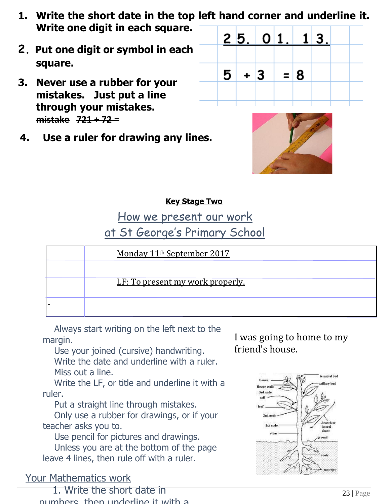- **1. Write the short date in the top left hand corner and underline it. Write one digit in each square.**
- **2. Put one digit or symbol in each square.**
- **3. Never use a rubber for your mistakes. Just put a line through your mistakes. mistake 721 + 72 =**
- **4. Use a ruler for drawing any lines.**





### **Key Stage Two**

How we present our work

at St George's Primary School

| Monday 11 <sup>th</sup> September 2017  |
|-----------------------------------------|
|                                         |
| <u>LF: To present my work properly.</u> |
|                                         |

Always start writing on the left next to the margin.

Use your joined (cursive) handwriting. Write the date and underline with a ruler. Miss out a line.

Write the LF, or title and underline it with a ruler.

Put a straight line through mistakes.

Only use a rubber for drawings, or if your teacher asks you to.

Use pencil for pictures and drawings. Unless you are at the bottom of the page leave 4 lines, then rule off with a ruler.

## Your Mathematics work

1. Write the short date in numbers, then underline it with a I was going to home to my friend's house.

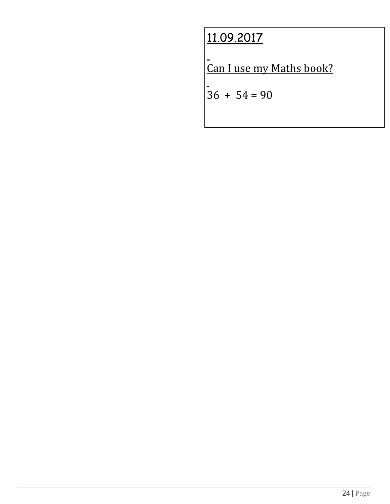# 11.09.2017

Can I use my Maths book?

 $\begin{vmatrix} -8 & 36 & +54 & = 90 \end{vmatrix}$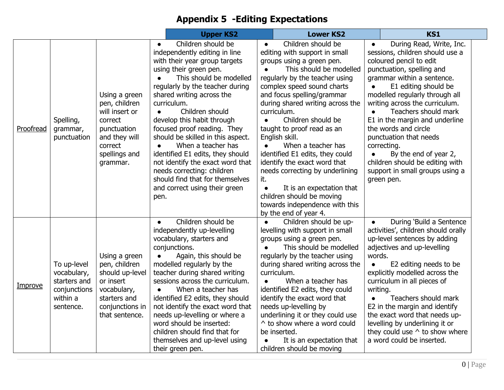# **Appendix 5 -Editing Expectations**

|                |                                                                                     |                                                                                                                                     | <b>Upper KS2</b>                                                                                                                                                                                                                                                                                                                                                                                                                                                                                                                                                   |                                     | <b>Lower KS2</b>                                                                                                                                                                                                                                                                                                                                                                                                                                                                                                                                                                    |                                 | <b>KS1</b>                                                                                                                                                                                                                                                                                                                                                                                                                                                                            |  |
|----------------|-------------------------------------------------------------------------------------|-------------------------------------------------------------------------------------------------------------------------------------|--------------------------------------------------------------------------------------------------------------------------------------------------------------------------------------------------------------------------------------------------------------------------------------------------------------------------------------------------------------------------------------------------------------------------------------------------------------------------------------------------------------------------------------------------------------------|-------------------------------------|-------------------------------------------------------------------------------------------------------------------------------------------------------------------------------------------------------------------------------------------------------------------------------------------------------------------------------------------------------------------------------------------------------------------------------------------------------------------------------------------------------------------------------------------------------------------------------------|---------------------------------|---------------------------------------------------------------------------------------------------------------------------------------------------------------------------------------------------------------------------------------------------------------------------------------------------------------------------------------------------------------------------------------------------------------------------------------------------------------------------------------|--|
| Proofread      | Spelling,<br>grammar,<br>punctuation                                                | Using a green<br>pen, children<br>will insert or<br>correct<br>punctuation<br>and they will<br>correct<br>spellings and<br>grammar. | Children should be<br>$\bullet$<br>independently editing in line<br>with their year group targets<br>using their green pen.<br>This should be modelled<br>regularly by the teacher during<br>shared writing across the<br>curriculum.<br>Children should<br>develop this habit through<br>focused proof reading. They<br>should be skilled in this aspect.<br>When a teacher has<br>identified E1 edits, they should<br>not identify the exact word that<br>needs correcting: children<br>should find that for themselves<br>and correct using their green<br>pen. | $\bullet$<br>it.<br>$\bullet$       | Children should be<br>editing with support in small<br>groups using a green pen.<br>This should be modelled<br>regularly by the teacher using<br>complex speed sound charts<br>and focus spelling/grammar<br>during shared writing across the<br>curriculum.<br>Children should be<br>taught to proof read as an<br>English skill.<br>When a teacher has<br>identified E1 edits, they could<br>identify the exact word that<br>needs correcting by underlining<br>It is an expectation that<br>children should be moving<br>towards independence with this<br>by the end of year 4. |                                 | During Read, Write, Inc.<br>sessions, children should use a<br>coloured pencil to edit<br>punctuation, spelling and<br>grammar within a sentence.<br>E1 editing should be<br>modelled regularly through all<br>writing across the curriculum.<br>Teachers should mark<br>E1 in the margin and underline<br>the words and circle<br>punctuation that needs<br>correcting.<br>By the end of year 2,<br>children should be editing with<br>support in small groups using a<br>green pen. |  |
| <u>Improve</u> | To up-level<br>vocabulary,<br>starters and<br>conjunctions<br>within a<br>sentence. | Using a green<br>pen, children<br>should up-level<br>or insert<br>vocabulary,<br>starters and<br>conjunctions in<br>that sentence.  | Children should be<br>$\bullet$<br>independently up-levelling<br>vocabulary, starters and<br>conjunctions.<br>Again, this should be<br>$\bullet$<br>modelled regularly by the<br>teacher during shared writing<br>sessions across the curriculum.<br>When a teacher has<br>$\bullet$<br>identified E2 edits, they should<br>not identify the exact word that<br>needs up-levelling or where a<br>word should be inserted:<br>children should find that for<br>themselves and up-level using<br>their green pen.                                                    | $\bullet$<br>$\bullet$<br>$\bullet$ | Children should be up-<br>levelling with support in small<br>groups using a green pen.<br>This should be modelled<br>regularly by the teacher using<br>during shared writing across the<br>curriculum.<br>When a teacher has<br>identified E2 edits, they could<br>identify the exact word that<br>needs up-levelling by<br>underlining it or they could use<br>^ to show where a word could<br>be inserted.<br>It is an expectation that<br>children should be moving                                                                                                              | words.<br>$\bullet$<br>writing. | During 'Build a Sentence<br>activities', children should orally<br>up-level sentences by adding<br>adjectives and up-levelling<br>E2 editing needs to be<br>explicitly modelled across the<br>curriculum in all pieces of<br>Teachers should mark<br>E2 in the margin and identify<br>the exact word that needs up-<br>levelling by underlining it or<br>they could use $\wedge$ to show where<br>a word could be inserted.                                                           |  |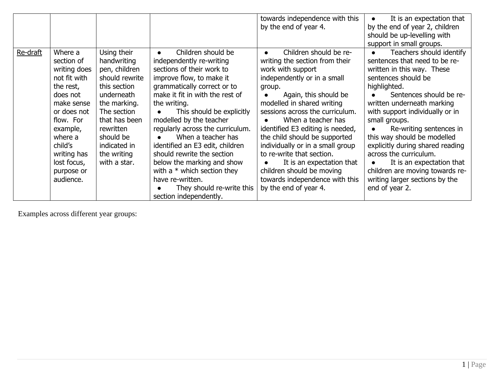|          |              |                |                                  | towards independence with this      | It is an expectation that        |
|----------|--------------|----------------|----------------------------------|-------------------------------------|----------------------------------|
|          |              |                |                                  | by the end of year 4.               | by the end of year 2, children   |
|          |              |                |                                  |                                     | should be up-levelling with      |
|          |              |                |                                  |                                     | support in small groups.         |
| Re-draft | Where a      | Using their    | Children should be               | Children should be re-<br>$\bullet$ | Teachers should identify         |
|          | section of   | handwriting    | independently re-writing         | writing the section from their      | sentences that need to be re-    |
|          | writing does | pen, children  | sections of their work to        | work with support                   | written in this way. These       |
|          | not fit with | should rewrite | improve flow, to make it         | independently or in a small         | sentences should be              |
|          | the rest,    | this section   | grammatically correct or to      | group.                              | highlighted.                     |
|          | does not     | underneath     | make it fit in with the rest of  | Again, this should be               | Sentences should be re-          |
|          | make sense   | the marking.   | the writing.                     | modelled in shared writing          | written underneath marking       |
|          | or does not  | The section    | This should be explicitly        | sessions across the curriculum.     | with support individually or in  |
|          | flow. For    | that has been  | modelled by the teacher          | When a teacher has                  | small groups.                    |
|          | example,     | rewritten      | regularly across the curriculum. | identified E3 editing is needed,    | Re-writing sentences in          |
|          | where a      | should be      | When a teacher has               | the child should be supported       | this way should be modelled      |
|          | child's      | indicated in   | identified an E3 edit, children  | individually or in a small group    | explicitly during shared reading |
|          | writing has  | the writing    | should rewrite the section       | to re-write that section.           | across the curriculum.           |
|          | lost focus,  | with a star.   | below the marking and show       | It is an expectation that           | It is an expectation that        |
|          | purpose or   |                | with a $*$ which section they    | children should be moving           | children are moving towards re-  |
|          | audience.    |                | have re-written.                 | towards independence with this      | writing larger sections by the   |
|          |              |                | They should re-write this        | by the end of year 4.               | end of year 2.                   |
|          |              |                | section independently.           |                                     |                                  |

Examples across different year groups: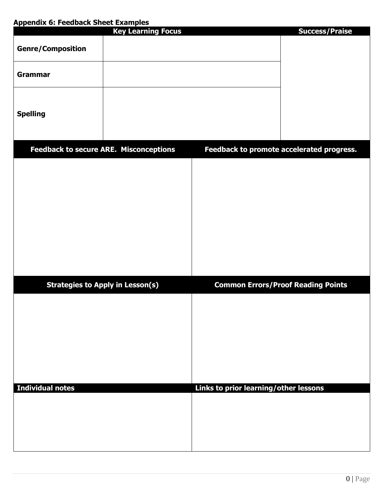### **Appendix 6: Feedback Sheet Examples**

| <b>Appendix 0. I ceupart Succi Litampics</b> | <b>Key Learning Focus</b>                     |                                       | <b>Success/Praise</b>                     |
|----------------------------------------------|-----------------------------------------------|---------------------------------------|-------------------------------------------|
| <b>Genre/Composition</b>                     |                                               |                                       |                                           |
| <b>Grammar</b>                               |                                               |                                       |                                           |
| <b>Spelling</b>                              |                                               |                                       |                                           |
|                                              | <b>Feedback to secure ARE. Misconceptions</b> |                                       | Feedback to promote accelerated progress. |
|                                              |                                               |                                       |                                           |
|                                              | <b>Strategies to Apply in Lesson(s)</b>       |                                       | <b>Common Errors/Proof Reading Points</b> |
|                                              |                                               |                                       |                                           |
| <b>Individual notes</b>                      |                                               | Links to prior learning/other lessons |                                           |
|                                              |                                               |                                       |                                           |